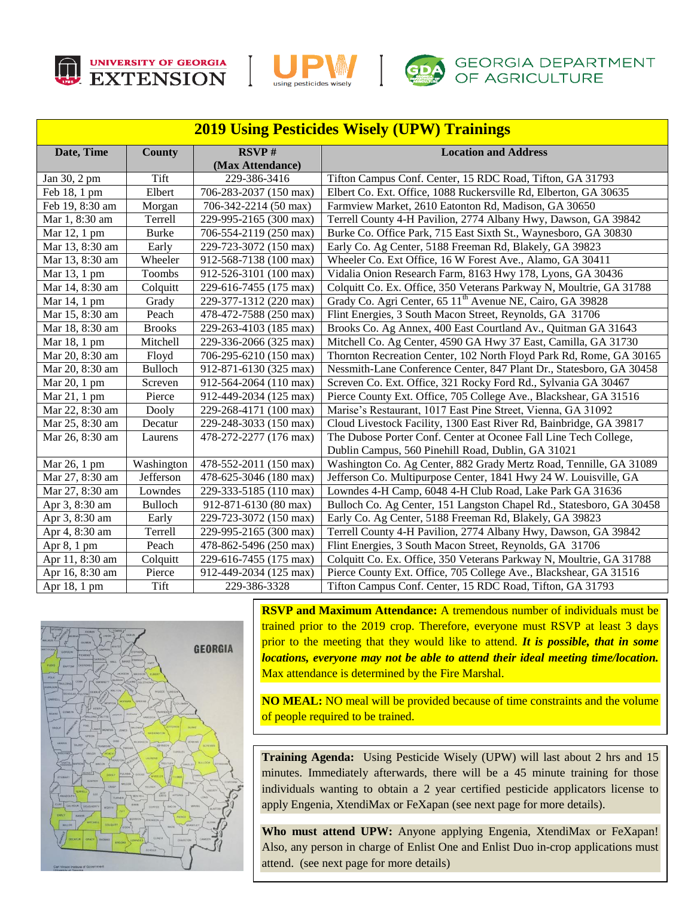





## **GDA** GEORGIA DEPARTMENT OF AGRICULTURE

| <b>2019 Using Pesticides Wisely (UPW) Trainings</b> |                |                           |                                                                       |
|-----------------------------------------------------|----------------|---------------------------|-----------------------------------------------------------------------|
| Date, Time                                          | County         | RSVP#<br>(Max Attendance) | <b>Location and Address</b>                                           |
| Jan 30, 2 pm                                        | Tift           | 229-386-3416              | Tifton Campus Conf. Center, 15 RDC Road, Tifton, GA 31793             |
| Feb 18, 1 pm                                        | Elbert         | 706-283-2037 (150 max)    | Elbert Co. Ext. Office, 1088 Ruckersville Rd, Elberton, GA 30635      |
| Feb 19, 8:30 am                                     | Morgan         | 706-342-2214 (50 max)     | Farmview Market, 2610 Eatonton Rd, Madison, GA 30650                  |
| Mar 1, 8:30 am                                      | Terrell        | 229-995-2165 (300 max)    | Terrell County 4-H Pavilion, 2774 Albany Hwy, Dawson, GA 39842        |
| Mar 12, 1 pm                                        | <b>Burke</b>   | 706-554-2119 (250 max)    | Burke Co. Office Park, 715 East Sixth St., Waynesboro, GA 30830       |
| Mar 13, 8:30 am                                     | Early          | 229-723-3072 (150 max)    | Early Co. Ag Center, 5188 Freeman Rd, Blakely, GA 39823               |
| Mar 13, 8:30 am                                     | Wheeler        | 912-568-7138 (100 max)    | Wheeler Co. Ext Office, 16 W Forest Ave., Alamo, GA 30411             |
| Mar 13, 1 pm                                        | Toombs         | 912-526-3101 (100 max)    | Vidalia Onion Research Farm, 8163 Hwy 178, Lyons, GA 30436            |
| Mar 14, 8:30 am                                     | Colquitt       | 229-616-7455 (175 max)    | Colquitt Co. Ex. Office, 350 Veterans Parkway N, Moultrie, GA 31788   |
| Mar 14, 1 pm                                        | Grady          | 229-377-1312 (220 max)    | Grady Co. Agri Center, 65 11 <sup>th</sup> Avenue NE, Cairo, GA 39828 |
| Mar 15, 8:30 am                                     | Peach          | 478-472-7588 (250 max)    | Flint Energies, 3 South Macon Street, Reynolds, GA 31706              |
| Mar 18, 8:30 am                                     | <b>Brooks</b>  | 229-263-4103 (185 max)    | Brooks Co. Ag Annex, 400 East Courtland Av., Quitman GA 31643         |
| Mar 18, 1 pm                                        | Mitchell       | 229-336-2066 (325 max)    | Mitchell Co. Ag Center, 4590 GA Hwy 37 East, Camilla, GA 31730        |
| Mar 20, 8:30 am                                     | Floyd          | 706-295-6210 (150 max)    | Thornton Recreation Center, 102 North Floyd Park Rd, Rome, GA 30165   |
| Mar 20, 8:30 am                                     | <b>Bulloch</b> | 912-871-6130 (325 max)    | Nessmith-Lane Conference Center, 847 Plant Dr., Statesboro, GA 30458  |
| Mar 20, 1 pm                                        | Screven        | 912-564-2064 (110 max)    | Screven Co. Ext. Office, 321 Rocky Ford Rd., Sylvania GA 30467        |
| Mar 21, 1 pm                                        | Pierce         | 912-449-2034 (125 max)    | Pierce County Ext. Office, 705 College Ave., Blackshear, GA 31516     |
| Mar 22, 8:30 am                                     | Dooly          | 229-268-4171 (100 max)    | Marise's Restaurant, 1017 East Pine Street, Vienna, GA 31092          |
| Mar 25, 8:30 am                                     | Decatur        | 229-248-3033 (150 max)    | Cloud Livestock Facility, 1300 East River Rd, Bainbridge, GA 39817    |
| Mar 26, 8:30 am                                     | Laurens        | 478-272-2277 (176 max)    | The Dubose Porter Conf. Center at Oconee Fall Line Tech College,      |
|                                                     |                |                           | Dublin Campus, 560 Pinehill Road, Dublin, GA 31021                    |
| Mar 26, 1 pm                                        | Washington     | 478-552-2011 (150 max)    | Washington Co. Ag Center, 882 Grady Mertz Road, Tennille, GA 31089    |
| Mar 27, 8:30 am                                     | Jefferson      | 478-625-3046 (180 max)    | Jefferson Co. Multipurpose Center, 1841 Hwy 24 W. Louisville, GA      |
| Mar 27, 8:30 am                                     | Lowndes        | 229-333-5185 (110 max)    | Lowndes 4-H Camp, 6048 4-H Club Road, Lake Park GA 31636              |
| Apr 3, 8:30 am                                      | <b>Bulloch</b> | 912-871-6130 (80 max)     | Bulloch Co. Ag Center, 151 Langston Chapel Rd., Statesboro, GA 30458  |
| Apr 3, 8:30 am                                      | Early          | 229-723-3072 (150 max)    | Early Co. Ag Center, 5188 Freeman Rd, Blakely, GA 39823               |
| Apr 4, 8:30 am                                      | Terrell        | 229-995-2165 (300 max)    | Terrell County 4-H Pavilion, 2774 Albany Hwy, Dawson, GA 39842        |
| Apr 8, 1 pm                                         | Peach          | 478-862-5496 (250 max)    | Flint Energies, 3 South Macon Street, Reynolds, GA 31706              |
| Apr 11, 8:30 am                                     | Colquitt       | 229-616-7455 (175 max)    | Colquitt Co. Ex. Office, 350 Veterans Parkway N, Moultrie, GA 31788   |
| Apr 16, 8:30 am                                     | Pierce         | 912-449-2034 (125 max)    | Pierce County Ext. Office, 705 College Ave., Blackshear, GA 31516     |
| Apr 18, 1 pm                                        | Tift           | 229-386-3328              | Tifton Campus Conf. Center, 15 RDC Road, Tifton, GA 31793             |



**RSVP and Maximum Attendance:** A tremendous number of individuals must be trained prior to the 2019 crop. Therefore, everyone must RSVP at least 3 days prior to the meeting that they would like to attend. *It is possible, that in some locations, everyone may not be able to attend their ideal meeting time/location.* Max attendance is determined by the Fire Marshal.

**NO MEAL:** NO meal will be provided because of time constraints and the volume of people required to be trained.

**Training Agenda:** Using Pesticide Wisely (UPW) will last about 2 hrs and 15 minutes. Immediately afterwards, there will be a 45 minute training for those individuals wanting to obtain a 2 year certified pesticide applicators license to apply Engenia, XtendiMax or FeXapan (see next page for more details).

**Who must attend UPW:** Anyone applying Engenia, XtendiMax or FeXapan! Also, any person in charge of Enlist One and Enlist Duo in-crop applications must attend. (see next page for more details)